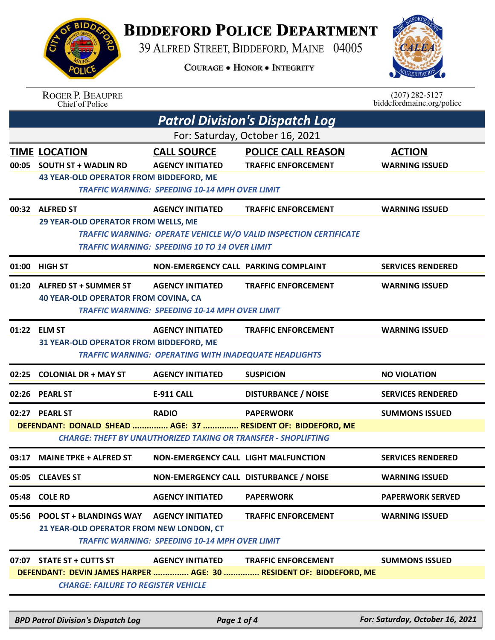## **BIDDEFORD POLICE DEPARTMENT**

39 ALFRED STREET, BIDDEFORD, MAINE 04005

**COURAGE . HONOR . INTEGRITY** 



| <b>BIDDA</b>             |  |
|--------------------------|--|
| $\overline{\mathcal{M}}$ |  |
|                          |  |
| A                        |  |
|                          |  |
| POLICE                   |  |
|                          |  |

ROGER P. BEAUPRE<br>Chief of Police

 $(207)$  282-5127 biddefordmaine.org/police

|       | <b>Patrol Division's Dispatch Log</b>                                                         |                                                                                                        |                                                                                                  |                                        |  |
|-------|-----------------------------------------------------------------------------------------------|--------------------------------------------------------------------------------------------------------|--------------------------------------------------------------------------------------------------|----------------------------------------|--|
|       | For: Saturday, October 16, 2021                                                               |                                                                                                        |                                                                                                  |                                        |  |
|       | <b>TIME LOCATION</b><br>00:05 SOUTH ST + WADLIN RD<br>43 YEAR-OLD OPERATOR FROM BIDDEFORD, ME | <b>CALL SOURCE</b><br><b>AGENCY INITIATED</b><br><b>TRAFFIC WARNING: SPEEDING 10-14 MPH OVER LIMIT</b> | <b>POLICE CALL REASON</b><br><b>TRAFFIC ENFORCEMENT</b>                                          | <b>ACTION</b><br><b>WARNING ISSUED</b> |  |
|       | 00:32 ALFRED ST<br>29 YEAR-OLD OPERATOR FROM WELLS, ME                                        | <b>AGENCY INITIATED</b><br><b>TRAFFIC WARNING: SPEEDING 10 TO 14 OVER LIMIT</b>                        | <b>TRAFFIC ENFORCEMENT</b><br>TRAFFIC WARNING: OPERATE VEHICLE W/O VALID INSPECTION CERTIFICATE  | <b>WARNING ISSUED</b>                  |  |
|       | 01:00 HIGH ST                                                                                 | NON-EMERGENCY CALL PARKING COMPLAINT                                                                   |                                                                                                  | <b>SERVICES RENDERED</b>               |  |
|       | 01:20 ALFRED ST + SUMMER ST<br><b>40 YEAR-OLD OPERATOR FROM COVINA, CA</b>                    | <b>AGENCY INITIATED</b><br><b>TRAFFIC WARNING: SPEEDING 10-14 MPH OVER LIMIT</b>                       | <b>TRAFFIC ENFORCEMENT</b>                                                                       | <b>WARNING ISSUED</b>                  |  |
|       | 01:22 ELM ST<br>31 YEAR-OLD OPERATOR FROM BIDDEFORD, ME                                       | <b>AGENCY INITIATED</b><br><b>TRAFFIC WARNING: OPERATING WITH INADEQUATE HEADLIGHTS</b>                | <b>TRAFFIC ENFORCEMENT</b>                                                                       | <b>WARNING ISSUED</b>                  |  |
| 02:25 | <b>COLONIAL DR + MAY ST</b>                                                                   | <b>AGENCY INITIATED</b>                                                                                | <b>SUSPICION</b>                                                                                 | <b>NO VIOLATION</b>                    |  |
|       | 02:26 PEARL ST                                                                                | <b>E-911 CALL</b>                                                                                      | <b>DISTURBANCE / NOISE</b>                                                                       | <b>SERVICES RENDERED</b>               |  |
|       | 02:27 PEARL ST<br>DEFENDANT: DONALD SHEAD  AGE: 37  RESIDENT OF: BIDDEFORD, ME                | <b>RADIO</b><br><b>CHARGE: THEFT BY UNAUTHORIZED TAKING OR TRANSFER - SHOPLIFTING</b>                  | <b>PAPERWORK</b>                                                                                 | <b>SUMMONS ISSUED</b>                  |  |
| 03:17 | <b>MAINE TPKE + ALFRED ST</b>                                                                 | NON-EMERGENCY CALL LIGHT MALFUNCTION                                                                   |                                                                                                  | <b>SERVICES RENDERED</b>               |  |
|       | 05:05 CLEAVES ST                                                                              | NON-EMERGENCY CALL DISTURBANCE / NOISE                                                                 |                                                                                                  | <b>WARNING ISSUED</b>                  |  |
|       | 05:48 COLE RD                                                                                 | <b>AGENCY INITIATED</b>                                                                                | <b>PAPERWORK</b>                                                                                 | <b>PAPERWORK SERVED</b>                |  |
|       | 05:56 POOL ST + BLANDINGS WAY<br>21 YEAR-OLD OPERATOR FROM NEW LONDON, CT                     | <b>AGENCY INITIATED</b><br><b>TRAFFIC WARNING: SPEEDING 10-14 MPH OVER LIMIT</b>                       | <b>TRAFFIC ENFORCEMENT</b>                                                                       | <b>WARNING ISSUED</b>                  |  |
|       | 07:07 STATE ST + CUTTS ST<br><b>CHARGE: FAILURE TO REGISTER VEHICLE</b>                       | <b>AGENCY INITIATED</b>                                                                                | <b>TRAFFIC ENFORCEMENT</b><br>DEFENDANT: DEVIN JAMES HARPER  AGE: 30  RESIDENT OF: BIDDEFORD, ME | <b>SUMMONS ISSUED</b>                  |  |

*BPD Patrol Division's Dispatch Log Page 1 of 4 For: Saturday, October 16, 2021*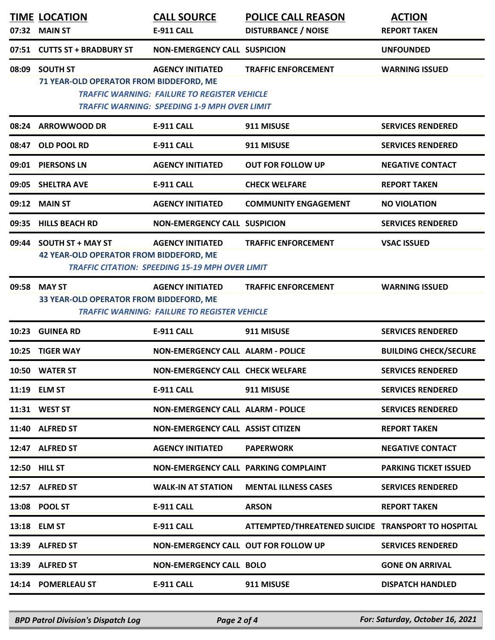| 07:32 | <b>TIME LOCATION</b><br><b>MAIN ST</b>                                     | <b>CALL SOURCE</b><br>E-911 CALL                                                                                                      | <b>POLICE CALL REASON</b><br><b>DISTURBANCE / NOISE</b> | <b>ACTION</b><br><b>REPORT TAKEN</b> |
|-------|----------------------------------------------------------------------------|---------------------------------------------------------------------------------------------------------------------------------------|---------------------------------------------------------|--------------------------------------|
| 07:51 | <b>CUTTS ST + BRADBURY ST</b>                                              | <b>NON-EMERGENCY CALL SUSPICION</b>                                                                                                   |                                                         | <b>UNFOUNDED</b>                     |
| 08:09 | <b>SOUTH ST</b><br>71 YEAR-OLD OPERATOR FROM BIDDEFORD, ME                 | <b>AGENCY INITIATED</b><br><b>TRAFFIC WARNING: FAILURE TO REGISTER VEHICLE</b><br><b>TRAFFIC WARNING: SPEEDING 1-9 MPH OVER LIMIT</b> | <b>TRAFFIC ENFORCEMENT</b>                              | <b>WARNING ISSUED</b>                |
|       | 08:24 ARROWWOOD DR                                                         | <b>E-911 CALL</b>                                                                                                                     | 911 MISUSE                                              | <b>SERVICES RENDERED</b>             |
| 08:47 | OLD POOL RD                                                                | <b>E-911 CALL</b>                                                                                                                     | 911 MISUSE                                              | <b>SERVICES RENDERED</b>             |
| 09:01 | <b>PIERSONS LN</b>                                                         | <b>AGENCY INITIATED</b>                                                                                                               | <b>OUT FOR FOLLOW UP</b>                                | <b>NEGATIVE CONTACT</b>              |
| 09:05 | <b>SHELTRA AVE</b>                                                         | <b>E-911 CALL</b>                                                                                                                     | <b>CHECK WELFARE</b>                                    | <b>REPORT TAKEN</b>                  |
| 09:12 | <b>MAIN ST</b>                                                             | <b>AGENCY INITIATED</b>                                                                                                               | <b>COMMUNITY ENGAGEMENT</b>                             | <b>NO VIOLATION</b>                  |
| 09:35 | <b>HILLS BEACH RD</b>                                                      | <b>NON-EMERGENCY CALL SUSPICION</b>                                                                                                   |                                                         | <b>SERVICES RENDERED</b>             |
| 09:44 | <b>SOUTH ST + MAY ST</b><br><b>42 YEAR-OLD OPERATOR FROM BIDDEFORD, ME</b> | <b>AGENCY INITIATED</b><br><b>TRAFFIC CITATION: SPEEDING 15-19 MPH OVER LIMIT</b>                                                     | <b>TRAFFIC ENFORCEMENT</b>                              | <b>VSAC ISSUED</b>                   |
| 09:58 | <b>MAY ST</b><br>33 YEAR-OLD OPERATOR FROM BIDDEFORD, ME                   | <b>AGENCY INITIATED</b><br><b>TRAFFIC WARNING: FAILURE TO REGISTER VEHICLE</b>                                                        | <b>TRAFFIC ENFORCEMENT</b>                              | <b>WARNING ISSUED</b>                |
| 10:23 | <b>GUINEA RD</b>                                                           | <b>E-911 CALL</b>                                                                                                                     | 911 MISUSE                                              | <b>SERVICES RENDERED</b>             |
| 10:25 | <b>TIGER WAY</b>                                                           | <b>NON-EMERGENCY CALL ALARM - POLICE</b>                                                                                              |                                                         | <b>BUILDING CHECK/SECURE</b>         |
|       | 10:50 WATER ST                                                             | <b>NON-EMERGENCY CALL CHECK WELFARE</b>                                                                                               |                                                         | <b>SERVICES RENDERED</b>             |
|       | 11:19 ELM ST                                                               | <b>E-911 CALL</b>                                                                                                                     | 911 MISUSE                                              | <b>SERVICES RENDERED</b>             |
|       | 11:31 WEST ST                                                              | <b>NON-EMERGENCY CALL ALARM - POLICE</b>                                                                                              |                                                         | <b>SERVICES RENDERED</b>             |
|       | 11:40 ALFRED ST                                                            | <b>NON-EMERGENCY CALL ASSIST CITIZEN</b>                                                                                              |                                                         | <b>REPORT TAKEN</b>                  |
|       | 12:47 ALFRED ST                                                            | <b>AGENCY INITIATED</b>                                                                                                               | <b>PAPERWORK</b>                                        | <b>NEGATIVE CONTACT</b>              |
|       | 12:50 HILL ST                                                              | NON-EMERGENCY CALL PARKING COMPLAINT                                                                                                  |                                                         | <b>PARKING TICKET ISSUED</b>         |
|       | 12:57 ALFRED ST                                                            | <b>WALK-IN AT STATION</b>                                                                                                             | <b>MENTAL ILLNESS CASES</b>                             | <b>SERVICES RENDERED</b>             |
|       | 13:08 POOL ST                                                              | E-911 CALL                                                                                                                            | <b>ARSON</b>                                            | <b>REPORT TAKEN</b>                  |
|       | 13:18 ELM ST                                                               | <b>E-911 CALL</b>                                                                                                                     | ATTEMPTED/THREATENED SUICIDE TRANSPORT TO HOSPITAL      |                                      |
|       | 13:39 ALFRED ST                                                            | NON-EMERGENCY CALL OUT FOR FOLLOW UP                                                                                                  |                                                         | <b>SERVICES RENDERED</b>             |
|       | 13:39 ALFRED ST                                                            | <b>NON-EMERGENCY CALL BOLO</b>                                                                                                        |                                                         | <b>GONE ON ARRIVAL</b>               |
|       | 14:14 POMERLEAU ST                                                         | E-911 CALL                                                                                                                            | 911 MISUSE                                              | <b>DISPATCH HANDLED</b>              |

*BPD Patrol Division's Dispatch Log Page 2 of 4 For: Saturday, October 16, 2021*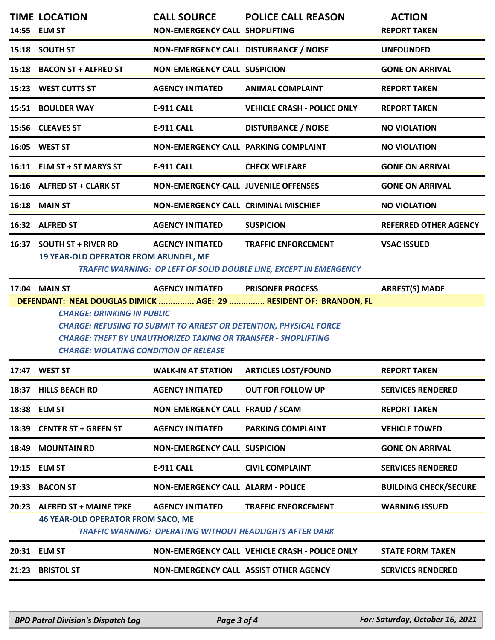|       | <b>TIME LOCATION</b><br>14:55 ELM ST                                                                                                                                                                                                                                                                                                                                                                         | <b>CALL SOURCE</b><br>NON-EMERGENCY CALL SHOPLIFTING                                       | <b>POLICE CALL REASON</b>                                                                        | <b>ACTION</b><br><b>REPORT TAKEN</b> |  |
|-------|--------------------------------------------------------------------------------------------------------------------------------------------------------------------------------------------------------------------------------------------------------------------------------------------------------------------------------------------------------------------------------------------------------------|--------------------------------------------------------------------------------------------|--------------------------------------------------------------------------------------------------|--------------------------------------|--|
|       | 15:18 SOUTH ST                                                                                                                                                                                                                                                                                                                                                                                               | NON-EMERGENCY CALL DISTURBANCE / NOISE                                                     |                                                                                                  | <b>UNFOUNDED</b>                     |  |
|       | 15:18 BACON ST + ALFRED ST                                                                                                                                                                                                                                                                                                                                                                                   | <b>NON-EMERGENCY CALL SUSPICION</b>                                                        |                                                                                                  | <b>GONE ON ARRIVAL</b>               |  |
|       | 15:23 WEST CUTTS ST                                                                                                                                                                                                                                                                                                                                                                                          | <b>AGENCY INITIATED</b>                                                                    | <b>ANIMAL COMPLAINT</b>                                                                          | <b>REPORT TAKEN</b>                  |  |
|       | 15:51 BOULDER WAY                                                                                                                                                                                                                                                                                                                                                                                            | <b>E-911 CALL</b>                                                                          | <b>VEHICLE CRASH - POLICE ONLY</b>                                                               | <b>REPORT TAKEN</b>                  |  |
|       | 15:56 CLEAVES ST                                                                                                                                                                                                                                                                                                                                                                                             | <b>E-911 CALL</b>                                                                          | <b>DISTURBANCE / NOISE</b>                                                                       | <b>NO VIOLATION</b>                  |  |
|       | 16:05 WEST ST                                                                                                                                                                                                                                                                                                                                                                                                | NON-EMERGENCY CALL PARKING COMPLAINT                                                       |                                                                                                  | <b>NO VIOLATION</b>                  |  |
|       | 16:11 ELM ST + ST MARYS ST                                                                                                                                                                                                                                                                                                                                                                                   | <b>E-911 CALL</b>                                                                          | <b>CHECK WELFARE</b>                                                                             | <b>GONE ON ARRIVAL</b>               |  |
|       | 16:16 ALFRED ST + CLARK ST                                                                                                                                                                                                                                                                                                                                                                                   | <b>NON-EMERGENCY CALL JUVENILE OFFENSES</b>                                                |                                                                                                  | <b>GONE ON ARRIVAL</b>               |  |
|       | 16:18 MAIN ST                                                                                                                                                                                                                                                                                                                                                                                                | NON-EMERGENCY CALL CRIMINAL MISCHIEF                                                       |                                                                                                  | <b>NO VIOLATION</b>                  |  |
|       | 16:32 ALFRED ST                                                                                                                                                                                                                                                                                                                                                                                              | <b>AGENCY INITIATED</b>                                                                    | <b>SUSPICION</b>                                                                                 | <b>REFERRED OTHER AGENCY</b>         |  |
|       | 16:37 SOUTH ST + RIVER RD<br><b>19 YEAR-OLD OPERATOR FROM ARUNDEL, ME</b>                                                                                                                                                                                                                                                                                                                                    | <b>AGENCY INITIATED</b>                                                                    | <b>TRAFFIC ENFORCEMENT</b><br>TRAFFIC WARNING: OP LEFT OF SOLID DOUBLE LINE, EXCEPT IN EMERGENCY | <b>VSAC ISSUED</b>                   |  |
|       | 17:04 MAIN ST<br><b>AGENCY INITIATED</b><br><b>ARREST(S) MADE</b><br><b>PRISONER PROCESS</b><br>DEFENDANT: NEAL DOUGLAS DIMICK  AGE: 29  RESIDENT OF: BRANDON, FL<br><b>CHARGE: DRINKING IN PUBLIC</b><br><b>CHARGE: REFUSING TO SUBMIT TO ARREST OR DETENTION, PHYSICAL FORCE</b><br><b>CHARGE: THEFT BY UNAUTHORIZED TAKING OR TRANSFER - SHOPLIFTING</b><br><b>CHARGE: VIOLATING CONDITION OF RELEASE</b> |                                                                                            |                                                                                                  |                                      |  |
|       | 17:47 WEST ST                                                                                                                                                                                                                                                                                                                                                                                                | <b>WALK-IN AT STATION</b>                                                                  | <b>ARTICLES LOST/FOUND</b>                                                                       | <b>REPORT TAKEN</b>                  |  |
|       | 18:37 HILLS BEACH RD                                                                                                                                                                                                                                                                                                                                                                                         | <b>AGENCY INITIATED</b>                                                                    | <b>OUT FOR FOLLOW UP</b>                                                                         | <b>SERVICES RENDERED</b>             |  |
|       | 18:38 ELM ST                                                                                                                                                                                                                                                                                                                                                                                                 | NON-EMERGENCY CALL FRAUD / SCAM                                                            |                                                                                                  | <b>REPORT TAKEN</b>                  |  |
|       | 18:39 CENTER ST + GREEN ST                                                                                                                                                                                                                                                                                                                                                                                   | <b>AGENCY INITIATED</b>                                                                    | <b>PARKING COMPLAINT</b>                                                                         | <b>VEHICLE TOWED</b>                 |  |
| 18:49 | <b>MOUNTAIN RD</b>                                                                                                                                                                                                                                                                                                                                                                                           | <b>NON-EMERGENCY CALL SUSPICION</b>                                                        |                                                                                                  | <b>GONE ON ARRIVAL</b>               |  |
|       | 19:15 ELM ST                                                                                                                                                                                                                                                                                                                                                                                                 | <b>E-911 CALL</b>                                                                          | <b>CIVIL COMPLAINT</b>                                                                           | <b>SERVICES RENDERED</b>             |  |
|       | 19:33 BACON ST                                                                                                                                                                                                                                                                                                                                                                                               | <b>NON-EMERGENCY CALL ALARM - POLICE</b>                                                   |                                                                                                  | <b>BUILDING CHECK/SECURE</b>         |  |
|       | 20:23 ALFRED ST + MAINE TPKE<br><b>46 YEAR-OLD OPERATOR FROM SACO, ME</b>                                                                                                                                                                                                                                                                                                                                    | <b>AGENCY INITIATED</b><br><b>TRAFFIC WARNING: OPERATING WITHOUT HEADLIGHTS AFTER DARK</b> | <b>TRAFFIC ENFORCEMENT</b>                                                                       | <b>WARNING ISSUED</b>                |  |
|       |                                                                                                                                                                                                                                                                                                                                                                                                              |                                                                                            |                                                                                                  |                                      |  |
|       | 20:31 ELM ST                                                                                                                                                                                                                                                                                                                                                                                                 | NON-EMERGENCY CALL VEHICLE CRASH - POLICE ONLY                                             |                                                                                                  | <b>STATE FORM TAKEN</b>              |  |
|       | 21:23 BRISTOL ST                                                                                                                                                                                                                                                                                                                                                                                             | NON-EMERGENCY CALL ASSIST OTHER AGENCY                                                     |                                                                                                  | <b>SERVICES RENDERED</b>             |  |